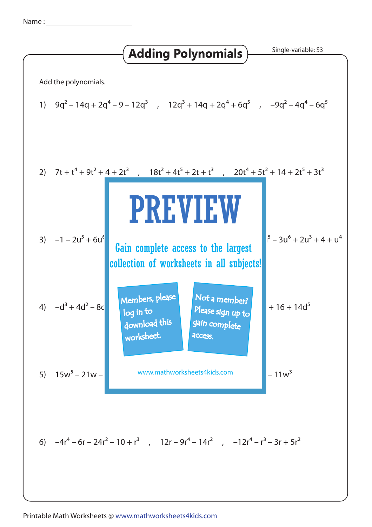